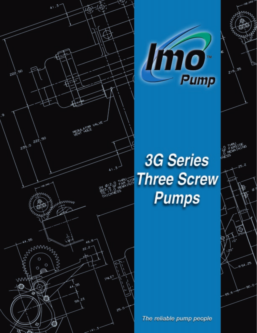



55

**RSA.25** 

øS

 $216$ 

# **3G Series Three Screw Pumps**

The reliable pump people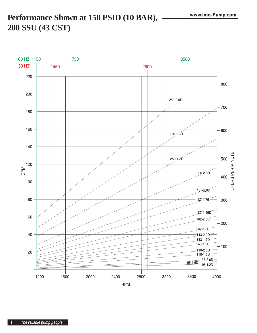# Performance Shown at 150 PSID (10 BAR), -200 SSU (43 CST)

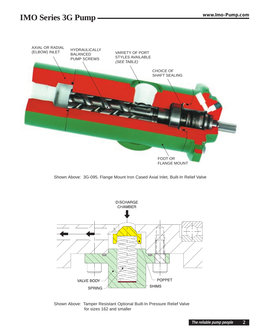## **IMO Series 3G Pump www.Imo-Pump.com**



Shown Above: 3G-095, Flange Mount Iron Cased Axial Inlet, Built-In Relief Valve



Shown Above: Tamper Resistant Optional Built-In Pressure Relief Valve for sizes 162 and smaller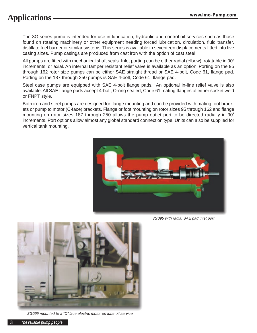The 3G series pump is intended for use in lubrication, hydraulic and control oil services such as those found on rotating machinery or other equipment needing forced lubrication, circulation, fluid transfer, distillate fuel burner or similar systems. This series is available in seventeen displacements fitted into five casing sizes. Pump casings are produced from cast iron with the option of cast steel.

All pumps are fitted with mechanical shaft seals. Inlet porting can be either radial (elbow), rotatable in 90 $^{\circ}$ increments, or axial. An internal tamper resistant relief valve is available as an option. Porting on the 95 through 162 rotor size pumps can be either SAE straight thread or SAE 4-bolt, Code 61, flange pad. Porting on the 187 through 250 pumps is SAE 4-bolt, Code 61, flange pad.

Steel case pumps are equipped with SAE 4-bolt flange pads. An optional in-line relief valve is also available. All SAE flange pads accept 4-bolt, O-ring sealed, Code 61 mating flanges of either socket weld or FNPT style.

Both iron and steel pumps are designed for flange mounting and can be provided with mating foot brackets or pump to motor (C-face) brackets. Flange or foot mounting on rotor sizes 95 through 162 and flange mounting on rotor sizes 187 through 250 allows the pump outlet port to be directed radially in 90˚ increments. Port options allow almost any global standard connection type. Units can also be supplied for vertical tank mounting.



3G095 with radial SAE pad inlet port



3G095 mounted to a "C" face electric motor on lube oil service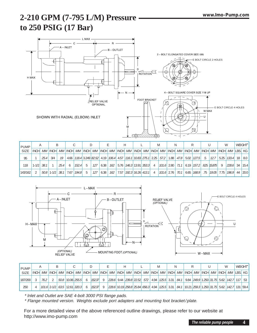# **2-210 GPM (7-795 L/M) Pressure to 250 PSIG (17 Bar)**



| <b>PUMP</b> |           |      |           |      |      |       |                                                                                                                       |     |      |     |  |                            |                |                              |  |  |    |                                                                                                                                                                                                                                                                                                      |                |                   | WEIGHT <sup>*</sup> |
|-------------|-----------|------|-----------|------|------|-------|-----------------------------------------------------------------------------------------------------------------------|-----|------|-----|--|----------------------------|----------------|------------------------------|--|--|----|------------------------------------------------------------------------------------------------------------------------------------------------------------------------------------------------------------------------------------------------------------------------------------------------------|----------------|-------------------|---------------------|
| <b>SIZE</b> |           |      |           |      |      |       |                                                                                                                       |     |      |     |  |                            |                |                              |  |  |    | INCHI <i>MM</i>  INCHI <i>MM</i>  INCHI <i>MM</i>  INCHI <i>MM</i>  INCHI <i>MM</i>  INCHI <i>MM</i>  INCHI <i>MM</i>  INCHI <i>MM</i>  INCHI <i>MM</i>  INCHI <i>MM</i>  INCHI <i>MM</i>  INCHI <i>MM</i>  INCHI <i>MM</i>  INCHI <i>MM</i>  INCHI  INCHI  INCHI  INCHI  INCHI  INCHI  INCHI  INCHI |                |                   |                     |
| 95          |           | 25.4 | 3/4       | 19 I |      |       | 4.66   118.4   3.249   82.52   4.19   106.4   4.57   116.1   10.83   275.1   2.25   57.2   1.88   47.8   5.02   127.5 |     |      |     |  |                            |                |                              |  |  | .5 | 12.7                                                                                                                                                                                                                                                                                                 |                | $5.25$ 133.4      | $18$   8.0          |
| 118         | $1 - 1/2$ | 38.1 |           | 25.4 |      | 152.4 | .5                                                                                                                    | 127 | 6.38 |     |  | 162 5.76 146.3 13.91 353.3 |                |                              |  |  |    | 4   101.6   2.80   71.1   6.19   157.2   .625   15.875                                                                                                                                                                                                                                               | $\overline{Q}$ | $ 228.6 $ 34 15.4 |                     |
| 143/162     |           | 50.8 | $1 - 1/2$ | 38.1 | 7.67 | 194.8 | $5 -$                                                                                                                 | 127 | 6.38 | 162 |  | 7.57 792.3 16.26 413.1     | $\overline{4}$ | $101.6$ 2.76 70.1 6.65 168.9 |  |  |    | .75 79.05 7.75 796.9 44 20.0                                                                                                                                                                                                                                                                         |                |                   |                     |



| <b>PUMP</b><br>SIZE |  |      |  |  |                                |  |  |        |  |  |  |  |  |  |  |  |  |  |  |  |  |  | W |                                                                                                                                                                                                                                                                     | WEIGHT <sup>*</sup> |  |
|---------------------|--|------|--|--|--------------------------------|--|--|--------|--|--|--|--|--|--|--|--|--|--|--|--|--|--|---|---------------------------------------------------------------------------------------------------------------------------------------------------------------------------------------------------------------------------------------------------------------------|---------------------|--|
|                     |  |      |  |  |                                |  |  |        |  |  |  |  |  |  |  |  |  |  |  |  |  |  |   | INCH  <i>MM</i>  INCH  <i>MM</i>  INCH  <i>MM</i>  INCH  <i>MM</i>  INCH  <i>MM</i>  INCH  <i>MM</i>  INCH  <i>MM</i>  INCH  <i>MM</i>  INCH  <i>MM</i>  INCH  <i>MM</i>  INCH  <i>MM</i>  INCH  <i>MM</i>  INCH  <i>MM</i>  INCH  <i>MM</i>  INCH  <i>MM</i>  INCH |                     |  |
| 187/200             |  | 76.2 |  |  | 50.8 10.06 255.5               |  |  | 152.37 |  |  |  |  |  |  |  |  |  |  |  |  |  |  |   | $\left  \frac{228.6}{9.44} \right $ 9.44 $\left  \frac{239.8}{22.52} \right $ 572 $\left  \frac{4.94}{125.5} \right $ 3.31 $\left  \frac{84.1}{242.4} \right $ 9.84 $\left  \frac{249.9}{1250} \right $ 3.1.75 5.62 142.7 117 53                                    |                     |  |
| 250                 |  |      |  |  | $101.6$ 2-1/2 63.5 12.61 320.3 |  |  | 152.37 |  |  |  |  |  |  |  |  |  |  |  |  |  |  |   | $[228.6   10.19   258.8   25.84   656.3]$ 4.94 $[125.5   3.31   84.1   10.21   259.3   1.250   31.75   5.62   142.7]$ 131 $[59.4$                                                                                                                                   |                     |  |

\* Inlet and Outlet are SAE 4-bolt 3000 PSI flange pads.

\* Flange mounted version. Weights exclude port adapters and mounting foot bracket/plate.

For a more detailed view of the above referenced outline drawings, please refer to our website at http://www.imo-pump.com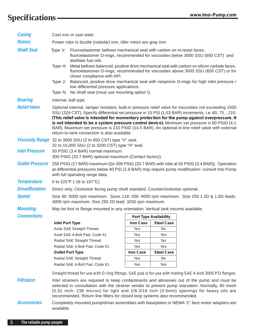# **Specifications www.Imo-Pump.com**

| <b>Casing</b>          | Cast iron or cast steel.                                                                                                                                                                                                                                                                                                                                                                                                                                                                                                                                            |                                                                                                                                                                                                                                                                                                                                                                                                                                                                                      |                  |                        |                                                                                         |  |  |  |  |  |  |  |
|------------------------|---------------------------------------------------------------------------------------------------------------------------------------------------------------------------------------------------------------------------------------------------------------------------------------------------------------------------------------------------------------------------------------------------------------------------------------------------------------------------------------------------------------------------------------------------------------------|--------------------------------------------------------------------------------------------------------------------------------------------------------------------------------------------------------------------------------------------------------------------------------------------------------------------------------------------------------------------------------------------------------------------------------------------------------------------------------------|------------------|------------------------|-----------------------------------------------------------------------------------------|--|--|--|--|--|--|--|
| <b>Rotors</b>          | Power rotor is ductile (nodular) iron. Idler rotors are gray iron.                                                                                                                                                                                                                                                                                                                                                                                                                                                                                                  |                                                                                                                                                                                                                                                                                                                                                                                                                                                                                      |                  |                        |                                                                                         |  |  |  |  |  |  |  |
| <b>Shaft Seal</b>      | Fluoroelastomer bellows mechanical seal with carbon on ni-resist faces,<br>Type V:<br>fluoroelastomer O-rings, recommended for viscosities below 3000 SSU (650 CST) and<br>distillate fuel oils.                                                                                                                                                                                                                                                                                                                                                                    |                                                                                                                                                                                                                                                                                                                                                                                                                                                                                      |                  |                        |                                                                                         |  |  |  |  |  |  |  |
|                        | Metal bellows balanced, positive drive mechanical seal with carbon on silicon carbide faces,<br>Type H:<br>fluoroelastomer O-rings, recommended for viscosities above 3000 SSU (650 CST) or for<br>closer compliance with API.                                                                                                                                                                                                                                                                                                                                      |                                                                                                                                                                                                                                                                                                                                                                                                                                                                                      |                  |                        |                                                                                         |  |  |  |  |  |  |  |
|                        | Type J:                                                                                                                                                                                                                                                                                                                                                                                                                                                                                                                                                             | Balanced, positive drive mechanical seal with neoprene O-rings for high inlet pressure /<br>low differential pressure applications.                                                                                                                                                                                                                                                                                                                                                  |                  |                        |                                                                                         |  |  |  |  |  |  |  |
|                        | Type N: No shaft seal (must use mounting option I).                                                                                                                                                                                                                                                                                                                                                                                                                                                                                                                 |                                                                                                                                                                                                                                                                                                                                                                                                                                                                                      |                  |                        |                                                                                         |  |  |  |  |  |  |  |
| <b>Bearing</b>         |                                                                                                                                                                                                                                                                                                                                                                                                                                                                                                                                                                     | Internal, ball type.                                                                                                                                                                                                                                                                                                                                                                                                                                                                 |                  |                        |                                                                                         |  |  |  |  |  |  |  |
| <b>Relief Valve</b>    | Optional internal, tamper resistant, built-in pressure relief valve for viscosities not exceeding 1500<br>SSU (324 CST). Specify differential set pressure in 15 PSI (1.03 BAR) increments, i.e. 60, 75210.<br>(This relief valve is intended for momentary protection for the pump against overpressure. It<br>is not intended to be a system pressure control device). Minimum set pressure is 60 PSID (4.1)<br>BAR). Maximum set pressure is 210 PSID (14.5 BAR). An optional in-line relief valve with external<br>return-to-tank connection is also available. |                                                                                                                                                                                                                                                                                                                                                                                                                                                                                      |                  |                        |                                                                                         |  |  |  |  |  |  |  |
|                        |                                                                                                                                                                                                                                                                                                                                                                                                                                                                                                                                                                     | Viscosity Range 32 to 3000 SSU (2 to 650 CST) type "V" seal.                                                                                                                                                                                                                                                                                                                                                                                                                         |                  |                        |                                                                                         |  |  |  |  |  |  |  |
| <b>Inlet Pressure</b>  | 32 to 15,000 SSU (2 to 3200 CST) type "H" seal.<br>50 PSIG (3.4 BAR) normal maximum.<br>300 PSIG (20.7 BAR) optional maximum (Contact factory).                                                                                                                                                                                                                                                                                                                                                                                                                     |                                                                                                                                                                                                                                                                                                                                                                                                                                                                                      |                  |                        |                                                                                         |  |  |  |  |  |  |  |
| <b>Outlet Pressure</b> | 250 PSIG (17 BAR) maximum [(to 300 PSIG (20.7 BAR) with inlet at 50 PSIG (3.4 BAR)]. Operation<br>at differential pressures below 40 PSI (2.8 BAR) may require pump modification- consult Imo Pump<br>with full operating range data.                                                                                                                                                                                                                                                                                                                               |                                                                                                                                                                                                                                                                                                                                                                                                                                                                                      |                  |                        |                                                                                         |  |  |  |  |  |  |  |
| <b>Temperature</b>     |                                                                                                                                                                                                                                                                                                                                                                                                                                                                                                                                                                     | 0 to 225°F (-18 to 107°C)                                                                                                                                                                                                                                                                                                                                                                                                                                                            |                  |                        |                                                                                         |  |  |  |  |  |  |  |
| <b>Drive/Rotation</b>  |                                                                                                                                                                                                                                                                                                                                                                                                                                                                                                                                                                     | Direct only. Clockwise facing pump shaft standard. Counterclockwise optional.                                                                                                                                                                                                                                                                                                                                                                                                        |                  |                        |                                                                                         |  |  |  |  |  |  |  |
| <b>Speed</b>           |                                                                                                                                                                                                                                                                                                                                                                                                                                                                                                                                                                     | 4000 rpm maximum. Size 250 2D lead: 3250 rpm maximum.                                                                                                                                                                                                                                                                                                                                                                                                                                |                  |                        | Size 95: 5000 rpm maximum. Sizes 118-200: 4000 rpm maximum. Size 250 1.3D & 1.6D leads: |  |  |  |  |  |  |  |
| <b>Mounting</b>        |                                                                                                                                                                                                                                                                                                                                                                                                                                                                                                                                                                     | May be foot or flange mounted in any orientation. Vertical tank mounts available.                                                                                                                                                                                                                                                                                                                                                                                                    |                  |                        |                                                                                         |  |  |  |  |  |  |  |
| <b>Connections</b>     |                                                                                                                                                                                                                                                                                                                                                                                                                                                                                                                                                                     |                                                                                                                                                                                                                                                                                                                                                                                                                                                                                      |                  | Port Type Availability |                                                                                         |  |  |  |  |  |  |  |
|                        | <b>Inlet Port Type</b>                                                                                                                                                                                                                                                                                                                                                                                                                                                                                                                                              |                                                                                                                                                                                                                                                                                                                                                                                                                                                                                      | <b>Iron Case</b> | <b>Steel Case</b>      |                                                                                         |  |  |  |  |  |  |  |
|                        |                                                                                                                                                                                                                                                                                                                                                                                                                                                                                                                                                                     | Axial SAE Straight Thread                                                                                                                                                                                                                                                                                                                                                                                                                                                            | Yes              | No.                    |                                                                                         |  |  |  |  |  |  |  |
|                        |                                                                                                                                                                                                                                                                                                                                                                                                                                                                                                                                                                     | Axial SAE 4-Bolt Pad, Code 61                                                                                                                                                                                                                                                                                                                                                                                                                                                        | Yes              | Yes                    |                                                                                         |  |  |  |  |  |  |  |
|                        |                                                                                                                                                                                                                                                                                                                                                                                                                                                                                                                                                                     | Radial SAE Straight Thread                                                                                                                                                                                                                                                                                                                                                                                                                                                           | Yes              | No                     |                                                                                         |  |  |  |  |  |  |  |
|                        |                                                                                                                                                                                                                                                                                                                                                                                                                                                                                                                                                                     | Radial SAE 4-Bolt Pad, Code 61                                                                                                                                                                                                                                                                                                                                                                                                                                                       | Yes              | Yes                    |                                                                                         |  |  |  |  |  |  |  |
|                        |                                                                                                                                                                                                                                                                                                                                                                                                                                                                                                                                                                     | <b>Outlet Port Type</b>                                                                                                                                                                                                                                                                                                                                                                                                                                                              | <b>Iron Case</b> | <b>Steel Case</b>      |                                                                                         |  |  |  |  |  |  |  |
|                        |                                                                                                                                                                                                                                                                                                                                                                                                                                                                                                                                                                     | Radial SAE Straight Thread                                                                                                                                                                                                                                                                                                                                                                                                                                                           | Yes              | No                     |                                                                                         |  |  |  |  |  |  |  |
|                        |                                                                                                                                                                                                                                                                                                                                                                                                                                                                                                                                                                     | Radial SAE 4-Bolt Pad, Code 61                                                                                                                                                                                                                                                                                                                                                                                                                                                       | Yes              | Yes                    |                                                                                         |  |  |  |  |  |  |  |
|                        |                                                                                                                                                                                                                                                                                                                                                                                                                                                                                                                                                                     |                                                                                                                                                                                                                                                                                                                                                                                                                                                                                      |                  |                        |                                                                                         |  |  |  |  |  |  |  |
| <b>Filtration</b>      |                                                                                                                                                                                                                                                                                                                                                                                                                                                                                                                                                                     | Straight thread for use with O-ring fittings. SAE pad is for use with mating SAE 4-bolt 3000 PSI flanges.<br>Inlet strainers are required to keep contaminants and abrasives out of the pump and must be<br>selected in consultation with the strainer vendor to prevent pump starvation. Normally, 60 mesh<br>(0.01 inch- 238 micron) for light and 1/8-3/16 inch (3-5mm) openings for heavy oils are<br>recommended. Return line filters for closed loop systems also recommended. |                  |                        |                                                                                         |  |  |  |  |  |  |  |
| <b>Accessories</b>     | Completely mounted pump/driver assemblies with baseplates or NEMA 'C' face motor adapters are<br>available.                                                                                                                                                                                                                                                                                                                                                                                                                                                         |                                                                                                                                                                                                                                                                                                                                                                                                                                                                                      |                  |                        |                                                                                         |  |  |  |  |  |  |  |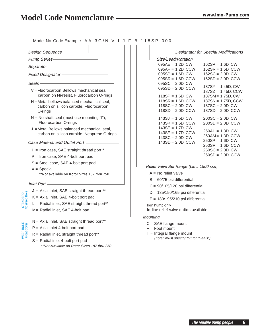# **Model Code Nomenclature www.Imo-Pump.com**

|                                 | Model No. Code Example AA 3G/N V I J F B 118SP 000                                     |                                                                          |                                                                                           |  |  |  |  |  |  |  |
|---------------------------------|----------------------------------------------------------------------------------------|--------------------------------------------------------------------------|-------------------------------------------------------------------------------------------|--|--|--|--|--|--|--|
|                                 | Design Sequence-                                                                       |                                                                          | <b>Designator for Special Modifications</b>                                               |  |  |  |  |  |  |  |
|                                 | Pump Series-                                                                           |                                                                          | -Size/Lead/Rotation                                                                       |  |  |  |  |  |  |  |
|                                 | Separator-                                                                             |                                                                          | $095AE = 1.2D$ , CW<br>$162SP = 1.6D$ , CW                                                |  |  |  |  |  |  |  |
|                                 | Fixed Designator –                                                                     |                                                                          | $095AF = 1.2D, CCW$<br>$162$ SR = 1.6D, CCW<br>$162SC = 2.0D, CW$<br>$095SP = 1.6D, CW$   |  |  |  |  |  |  |  |
|                                 |                                                                                        |                                                                          | $162SD = 2.0D, CCW$<br>$095SR = 1.6D, CCW$                                                |  |  |  |  |  |  |  |
|                                 | Seals-                                                                                 |                                                                          | $095SC = 2.0D, CW$<br>$187SY = 1.45D, CW$                                                 |  |  |  |  |  |  |  |
|                                 | V = Fluorocarbon Bellows mechanical seal,                                              |                                                                          | $095SD = 2.0D$ , CCW<br>$187SZ = 1.45D$ , CCW                                             |  |  |  |  |  |  |  |
|                                 | carbon on Ni-resist, Fluorocarbon O-rings                                              |                                                                          | 187SM = 1.75D, CW<br>$118SP = 1.6D$ , CW                                                  |  |  |  |  |  |  |  |
|                                 | H = Metal bellows balanced mechanical seal,<br>carbon on silicon carbide, Fluorocarbon |                                                                          | $118SR = 1.6D$ , CCW<br>$187SN = 1.75D$ , CCW<br>$118SC = 2.0D, CW$<br>$187SC = 2.0D, CW$ |  |  |  |  |  |  |  |
|                                 | O-rings                                                                                |                                                                          | $118SD = 2.0D, CCW$<br>$187SD = 2.0D$ , CCW                                               |  |  |  |  |  |  |  |
|                                 | $N = No$ shaft seal (must use mounting "I"),                                           |                                                                          | $143SJ = 1.5D, CW$<br>$200SC = 2.0D$ , CW                                                 |  |  |  |  |  |  |  |
|                                 | Fluorocarbon O-rings                                                                   |                                                                          | $143SK = 1.5D, CCW$<br>$200SD = 2.0D, CCW$                                                |  |  |  |  |  |  |  |
|                                 | J = Metal Bellows balanced mechanical seal,                                            |                                                                          | $143SE = 1.7D$ , CW<br>$250AL = 1.3D$ , CW                                                |  |  |  |  |  |  |  |
|                                 | carbon on silicon carbide, Neoprene O-rings                                            |                                                                          | $143SF = 1.7D, CCW$<br>250AM = 1.3D, CCW<br>$143SC = 2.0D, CW$                            |  |  |  |  |  |  |  |
|                                 | Case Material and Outlet Port -                                                        |                                                                          | $250SP = 1.6D, CW$<br>$143SD = 2.0D$ , CCW<br>$250$ SR = 1.6D, CCW                        |  |  |  |  |  |  |  |
|                                 | $I =$ Iron case, SAE straight thread port**                                            |                                                                          | $250SC = 2.0D, CW$                                                                        |  |  |  |  |  |  |  |
|                                 | $P =$ Iron case, SAE 4-bolt port pad                                                   |                                                                          | $250SD = 2.0D$ , CCW                                                                      |  |  |  |  |  |  |  |
|                                 | S = Steel case, SAE 4-bolt port pad                                                    |                                                                          |                                                                                           |  |  |  |  |  |  |  |
|                                 | $X = Special$                                                                          |                                                                          | Relief Valve Set Range (Limit 1500 ssu)                                                   |  |  |  |  |  |  |  |
|                                 | ** Not available on Rotor Sizes 187 thru 250                                           |                                                                          | $A = No$ relief valve                                                                     |  |  |  |  |  |  |  |
|                                 | Inlet Port -                                                                           |                                                                          | $B = 60/75$ psi differential                                                              |  |  |  |  |  |  |  |
|                                 | $J = Axial$ inlet, SAE straight thread port**                                          |                                                                          | $C = 90/105/120$ psi differential                                                         |  |  |  |  |  |  |  |
| STANDARD<br>No Weep Hole        | $K = Axial$ inlet, SAE 4-bolt port pad                                                 | $D = 135/150/165$ psi differential<br>$E = 180/195/210$ psi differential |                                                                                           |  |  |  |  |  |  |  |
|                                 | $L =$ Radial inlet, SAE straight thread port**                                         |                                                                          | Iron Pump only                                                                            |  |  |  |  |  |  |  |
|                                 | M = Radial inlet, SAE 4-bolt pad                                                       |                                                                          | In-line relief valve option available                                                     |  |  |  |  |  |  |  |
|                                 |                                                                                        |                                                                          | <b>Mounting</b>                                                                           |  |  |  |  |  |  |  |
| шų                              | N = Axial inlet, SAE straight thread port**                                            |                                                                          | $C = SAE$ flange mount<br>$F =$ Foot mount                                                |  |  |  |  |  |  |  |
|                                 | $P = Axial$ inlet 4-bolt port pad                                                      |                                                                          |                                                                                           |  |  |  |  |  |  |  |
| <b>WEEP HOLE</b><br>Front Cover | R = Radial inlet, straight thread port**                                               |                                                                          | $I =$ Integral flange mount<br>(note: must specify "N" for "Seals")                       |  |  |  |  |  |  |  |
|                                 | S = Radial inlet 4-bolt port pad                                                       |                                                                          |                                                                                           |  |  |  |  |  |  |  |
|                                 | **Not Available on Rotor Sizes 187 thru 250                                            |                                                                          |                                                                                           |  |  |  |  |  |  |  |
|                                 |                                                                                        |                                                                          |                                                                                           |  |  |  |  |  |  |  |